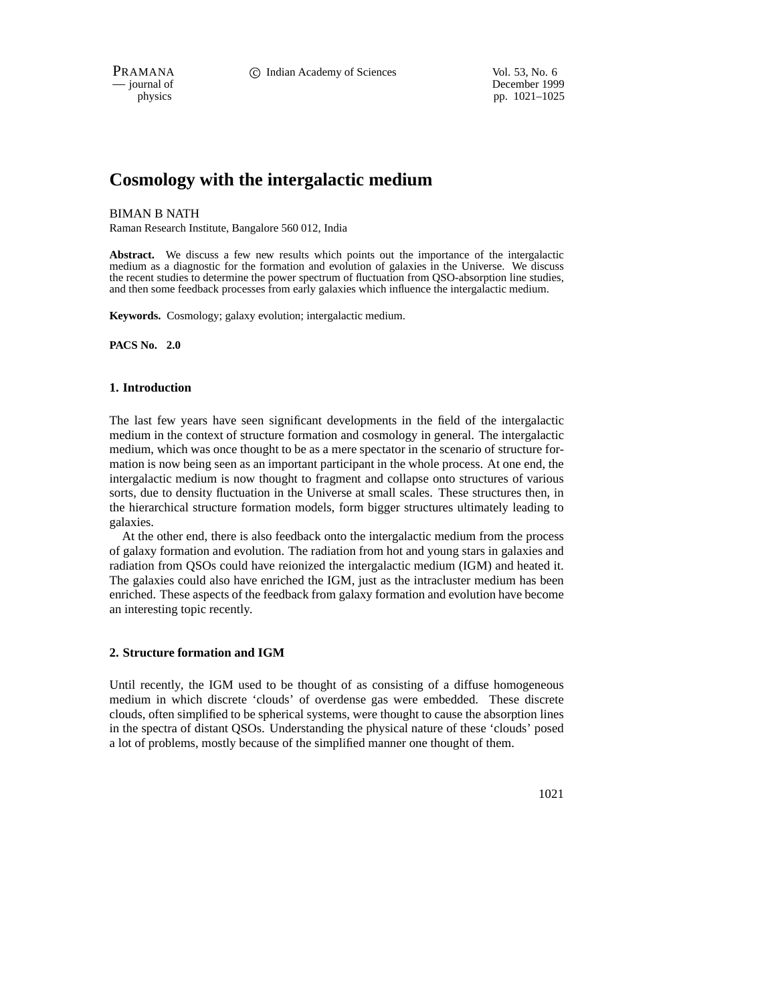PRAMANA **C** Indian Academy of Sciences Vol. 53, No. 6

— journal of December 1999 physics pp.  $1021-1025$ 

# **Cosmology with the intergalactic medium**

### BIMAN B NATH

Raman Research Institute, Bangalore 560 012, India

**Abstract.** We discuss a few new results which points out the importance of the intergalactic medium as a diagnostic for the formation and evolution of galaxies in the Universe. We discuss the recent studies to determine the power spectrum of fluctuation from QSO-absorption line studies, and then some feedback processes from early galaxies which influence the intergalactic medium.

**Keywords.** Cosmology; galaxy evolution; intergalactic medium.

**PACS No. 2.0**

## **1. Introduction**

The last few years have seen significant developments in the field of the intergalactic medium in the context of structure formation and cosmology in general. The intergalactic medium, which was once thought to be as a mere spectator in the scenario of structure formation is now being seen as an important participant in the whole process. At one end, the intergalactic medium is now thought to fragment and collapse onto structures of various sorts, due to density fluctuation in the Universe at small scales. These structures then, in the hierarchical structure formation models, form bigger structures ultimately leading to galaxies.

At the other end, there is also feedback onto the intergalactic medium from the process of galaxy formation and evolution. The radiation from hot and young stars in galaxies and radiation from QSOs could have reionized the intergalactic medium (IGM) and heated it. The galaxies could also have enriched the IGM, just as the intracluster medium has been enriched. These aspects of the feedback from galaxy formation and evolution have become an interesting topic recently.

## **2. Structure formation and IGM**

Until recently, the IGM used to be thought of as consisting of a diffuse homogeneous medium in which discrete 'clouds' of overdense gas were embedded. These discrete clouds, often simplified to be spherical systems, were thought to cause the absorption lines in the spectra of distant QSOs. Understanding the physical nature of these 'clouds' posed a lot of problems, mostly because of the simplified manner one thought of them.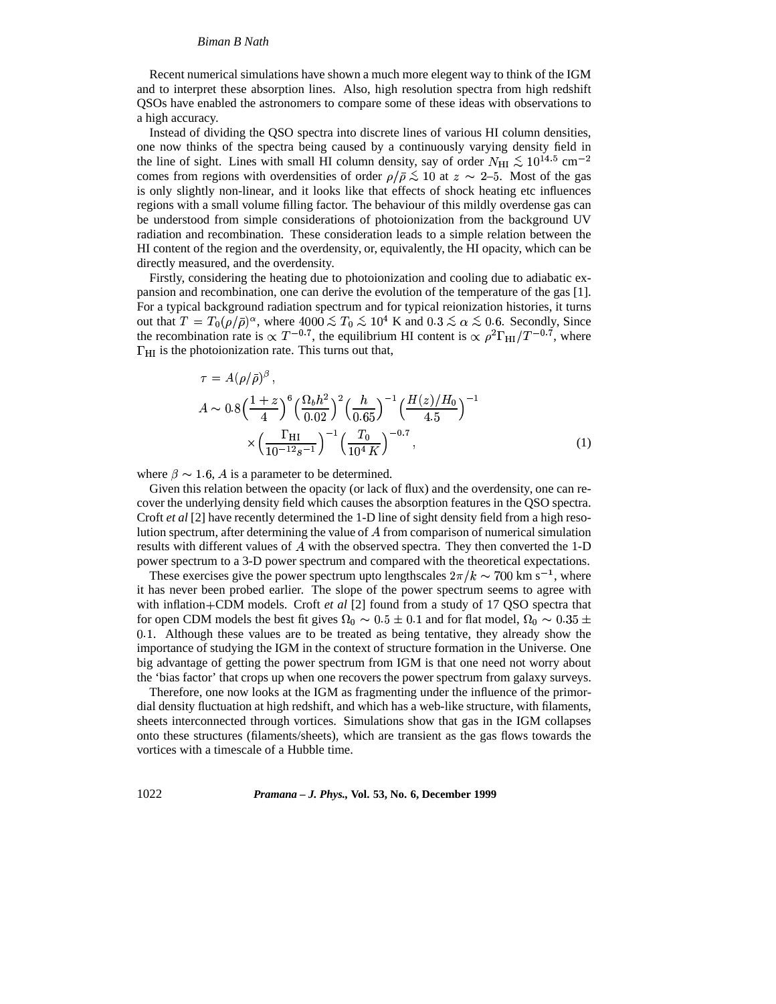#### *Biman B Nath*

Recent numerical simulations have shown a much more elegent way to think of the IGM and to interpret these absorption lines. Also, high resolution spectra from high redshift QSOs have enabled the astronomers to compare some of these ideas with observations to a high accuracy.

Instead of dividing the QSO spectra into discrete lines of various HI column densities, one now thinks of the spectra being caused by a continuously varying density field in the line of sight. Lines with small HI column density, say of order  $N_{\rm HI} \lesssim 10^{14.5}$  cm<sup>-2</sup> comes from regions with overdensities of order  $\rho/\bar{\rho} \lesssim 10$  at  $z \sim 2{\text -}5$ . Most of the gas is only slightly non-linear, and it looks like that effects of shock heating etc influences regions with a small volume filling factor. The behaviour of this mildly overdense gas can be understood from simple considerations of photoionization from the background UV radiation and recombination. These consideration leads to a simple relation between the HI content of the region and the overdensity, or, equivalently, the HI opacity, which can be directly measured, and the overdensity.

Firstly, considering the heating due to photoionization and cooling due to adiabatic expansion and recombination, one can derive the evolution of the temperature of the gas [1]. For a typical background radiation spectrum and for typical reionization histories, it turns out that  $T = T_0(\rho/\bar{\rho})^{\alpha}$ , where  $4000 \lesssim T_0 \lesssim 10^4$  K and  $0.3 \lesssim \alpha \lesssim 0.6$ . Secondly, Since the recombination rate is  $\propto T^{-0.7}$ , the equilibrium HI content is  $\propto \rho^2 \Gamma_{\rm HI}/T^{-0.7}$ , where  $\Gamma_{\rm HI}$  is the photoionization rate. This turns out that,

$$
\tau = A(\rho/\bar{\rho})^{\beta},
$$
  
\n
$$
A \sim 0.8 \left(\frac{1+z}{4}\right)^6 \left(\frac{\Omega_b h^2}{0.02}\right)^2 \left(\frac{h}{0.65}\right)^{-1} \left(\frac{H(z)/H_0}{4.5}\right)^{-1}
$$
  
\n
$$
\times \left(\frac{\Gamma_{\rm HI}}{10^{-12}s^{-1}}\right)^{-1} \left(\frac{T_0}{10^4 K}\right)^{-0.7},
$$
\n(1)

where  $\beta \sim 1.6$ , A is a parameter to be determined.

Given this relation between the opacity (or lack of flux) and the overdensity, one can recover the underlying density field which causes the absorption features in the QSO spectra. Croft *et al* [2] have recently determined the 1-D line of sight density field from a high resolution spectrum, after determining the value of  $\Lambda$  from comparison of numerical simulation results with different values of  $\vec{A}$  with the observed spectra. They then converted the 1-D power spectrum to a 3-D power spectrum and compared with the theoretical expectations.

These exercises give the power spectrum upto lengthscales  $2\pi/k \sim 700$  km s<sup>-1</sup>, where it has never been probed earlier. The slope of the power spectrum seems to agree with with inflation+CDM models. Croft *et al* [2] found from a study of 17 QSO spectra that for open CDM models the best fit gives  $\Omega_0 \sim 0.5 \pm 0.1$  and for flat model,  $\Omega_0 \sim 0.35 \pm 1$ 0.1. Although these values are to be treated as being tentative, they already show the importance of studying the IGM in the context of structure formation in the Universe. One big advantage of getting the power spectrum from IGM is that one need not worry about the 'bias factor' that crops up when one recovers the power spectrum from galaxy surveys.

Therefore, one now looks at the IGM as fragmenting under the influence of the primordial density fluctuation at high redshift, and which has a web-like structure, with filaments, sheets interconnected through vortices. Simulations show that gas in the IGM collapses onto these structures (filaments/sheets), which are transient as the gas flows towards the vortices with a timescale of a Hubble time.

1022 *Pramana – J. Phys.,* **Vol. 53, No. 6, December 1999**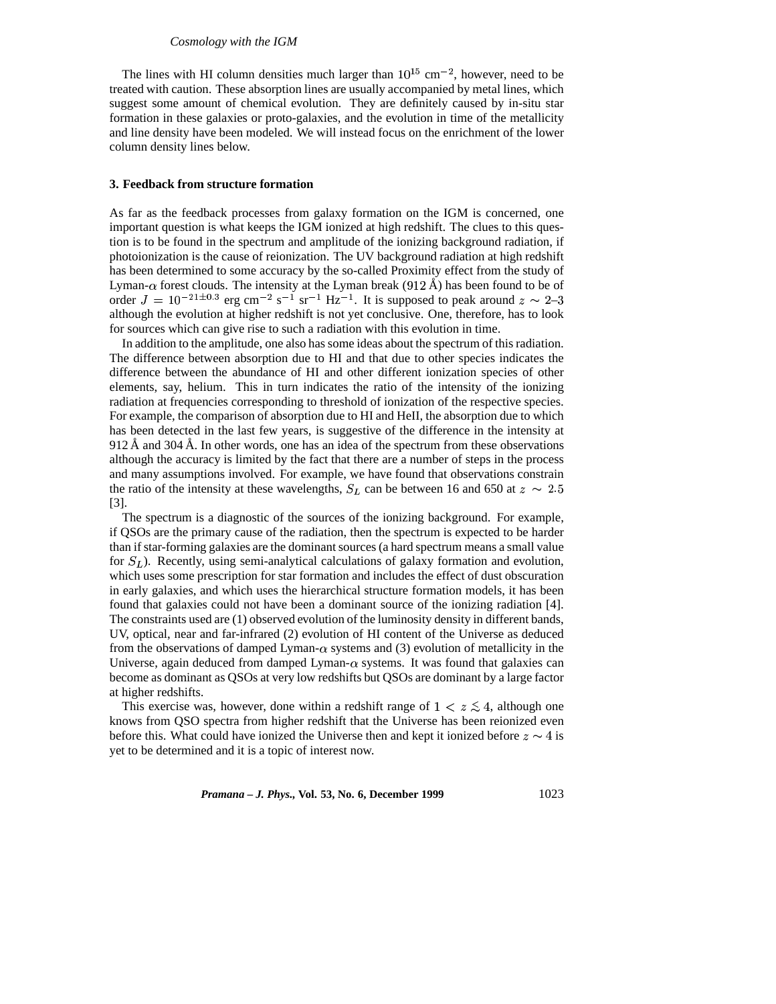#### *Cosmology with the IGM*

The lines with HI column densities much larger than  $10^{15}$  cm<sup>-2</sup>, however, need to be treated with caution. These absorption lines are usually accompanied by metal lines, which suggest some amount of chemical evolution. They are definitely caused by in-situ star formation in these galaxies or proto-galaxies, and the evolution in time of the metallicity and line density have been modeled. We will instead focus on the enrichment of the lower column density lines below.

#### **3. Feedback from structure formation**

As far as the feedback processes from galaxy formation on the IGM is concerned, one important question is what keeps the IGM ionized at high redshift. The clues to this question is to be found in the spectrum and amplitude of the ionizing background radiation, if photoionization is the cause of reionization. The UV background radiation at high redshift has been determined to some accuracy by the so-called Proximity effect from the study of Lyman- $\alpha$  forest clouds. The intensity at the Lyman break (912 Å) has been found to be of order  $J = 10^{-21 \pm 0.3}$  erg cm<sup>-2</sup> s<sup>-1</sup> sr<sup>-1</sup> Hz<sup>-1</sup>. It is supposed to peak around  $z \sim 2\text{--}3$ although the evolution at higher redshift is not yet conclusive. One, therefore, has to look for sources which can give rise to such a radiation with this evolution in time.

In addition to the amplitude, one also has some ideas about the spectrum of thisradiation. The difference between absorption due to HI and that due to other species indicates the difference between the abundance of HI and other different ionization species of other elements, say, helium. This in turn indicates the ratio of the intensity of the ionizing radiation at frequencies corresponding to threshold of ionization of the respective species. For example, the comparison of absorption due to HI and HeII, the absorption due to which has been detected in the last few years, is suggestive of the difference in the intensity at  $912 \text{ Å}$  and  $304 \text{ Å}$ . In other words, one has an idea of the spectrum from these observations although the accuracy is limited by the fact that there are a number of steps in the process and many assumptions involved. For example, we have found that observations constrain the ratio of the intensity at these wavelengths,  $S_L$  can be between 16 and 650 at  $z \sim 2.5$ [3].

The spectrum is a diagnostic of the sources of the ionizing background. For example, if QSOs are the primary cause of the radiation, then the spectrum is expected to be harder than if star-forming galaxies are the dominant sources (a hard spectrum means a small value for  $S_L$ ). Recently, using semi-analytical calculations of galaxy formation and evolution, which uses some prescription for star formation and includes the effect of dust obscuration in early galaxies, and which uses the hierarchical structure formation models, it has been found that galaxies could not have been a dominant source of the ionizing radiation [4]. The constraints used are (1) observed evolution of the luminosity density in different bands, UV, optical, near and far-infrared (2) evolution of HI content of the Universe as deduced from the observations of damped Lyman- $\alpha$  systems and (3) evolution of metallicity in the Universe, again deduced from damped Lyman- $\alpha$  systems. It was found that galaxies can become as dominant as QSOs at very low redshifts but QSOs are dominant by a large factor at higher redshifts.

This exercise was, however, done within a redshift range of  $1 < z \lesssim 4$ , although one knows from QSO spectra from higher redshift that the Universe has been reionized even before this. What could have ionized the Universe then and kept it ionized before  $z \sim 4$  is yet to be determined and it is a topic of interest now.

*Pramana – J. Phys.,* **Vol. 53, No. 6, December 1999** 1023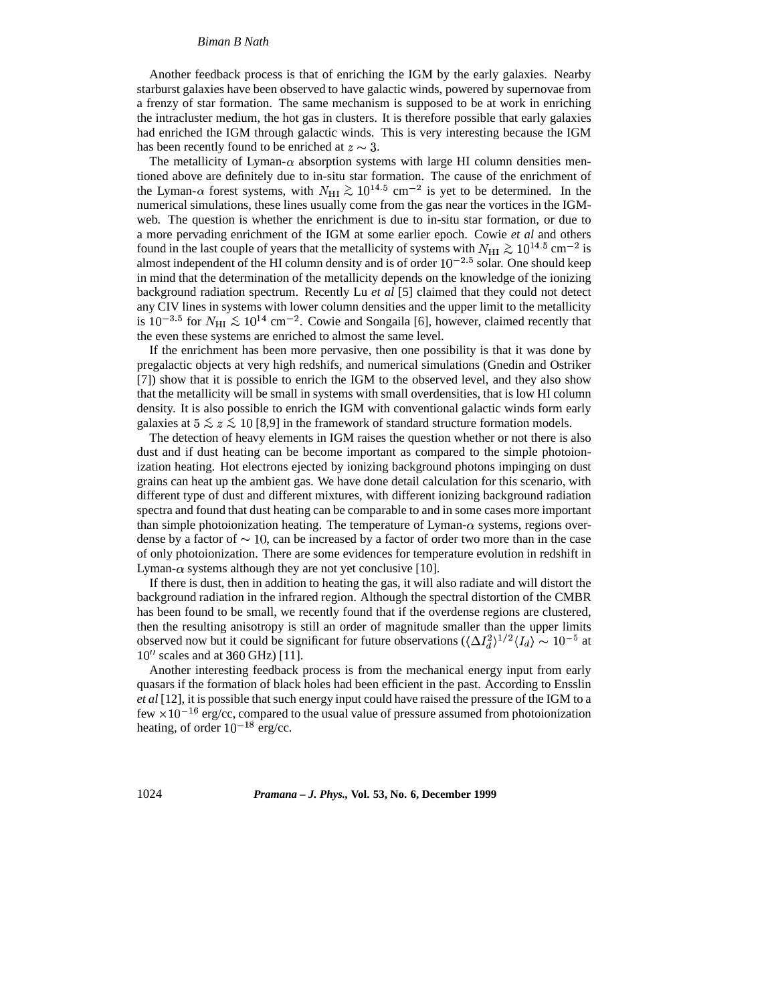#### *Biman B Nath*

Another feedback process is that of enriching the IGM by the early galaxies. Nearby starburst galaxies have been observed to have galactic winds, powered by supernovae from a frenzy of star formation. The same mechanism is supposed to be at work in enriching the intracluster medium, the hot gas in clusters. It is therefore possible that early galaxies had enriched the IGM through galactic winds. This is very interesting because the IGM has been recently found to be enriched at  $z \sim 3$ .

The metallicity of Lyman- $\alpha$  absorption systems with large HI column densities mentioned above are definitely due to in-situ star formation. The cause of the enrichment of the Lyman- $\alpha$  forest systems, with  $N_{\rm HI} \gtrsim 10^{14.5}$  cm<sup>-2</sup> is yet to be determined. In the numerical simulations, these lines usually come from the gas near the vortices in the IGMweb. The question is whether the enrichment is due to in-situ star formation, or due to a more pervading enrichment of the IGM at some earlier epoch. Cowie *et al* and others found in the last couple of years that the metallicity of systems with  $N_{\rm HI} \gtrsim 10^{14.5}$  cm<sup>-2</sup> is almost independent of the HI column density and is of order  $10^{-2.5}$  solar. One should keep in mind that the determination of the metallicity depends on the knowledge of the ionizing background radiation spectrum. Recently Lu *et al* [5] claimed that they could not detect any CIV lines in systems with lower column densities and the upper limit to the metallicity is  $10^{-3.5}$  for  $N_{\rm HI} \lesssim 10^{14}$  cm<sup>-2</sup>. Cowie and Songaila [6], however, claimed recently that the even these systems are enriched to almost the same level.

If the enrichment has been more pervasive, then one possibility is that it was done by pregalactic objects at very high redshifs, and numerical simulations (Gnedin and Ostriker [7]) show that it is possible to enrich the IGM to the observed level, and they also show that the metallicity will be small in systems with small overdensities, that is low HI column density. It is also possible to enrich the IGM with conventional galactic winds form early galaxies at  $5 \le z \le 10$  [8,9] in the framework of standard structure formation models.

The detection of heavy elements in IGM raises the question whether or not there is also dust and if dust heating can be become important as compared to the simple photoionization heating. Hot electrons ejected by ionizing background photons impinging on dust grains can heat up the ambient gas. We have done detail calculation for this scenario, with different type of dust and different mixtures, with different ionizing background radiation spectra and found that dust heating can be comparable to and in some cases more important than simple photoionization heating. The temperature of Lyman- $\alpha$  systems, regions overdense by a factor of  $\sim$  10, can be increased by a factor of order two more than in the case of only photoionization. There are some evidences for temperature evolution in redshift in Lyman- $\alpha$  systems although they are not yet conclusive [10].

If there is dust, then in addition to heating the gas, it will also radiate and will distort the background radiation in the infrared region. Although the spectral distortion of the CMBR has been found to be small, we recently found that if the overdense regions are clustered, then the resulting anisotropy is still an order of magnitude smaller than the upper limits observed now but it could be significant for future observations  $(\langle \Delta I_d^2 \rangle^{1/2} \langle I_d \rangle \sim 10^{-5}$  at  $10''$  scales and at 360 GHz) [11].

Another interesting feedback process is from the mechanical energy input from early quasars if the formation of black holes had been efficient in the past. According to Ensslin *et al* [12], it is possible that such energy input could have raised the pressure of the IGM to a few  $\times 10^{-16}$  erg/cc, compared to the usual value of pressure assumed from photoionization heating, of order  $10^{-18}$  erg/cc.

1024 *Pramana – J. Phys.,* **Vol. 53, No. 6, December 1999**